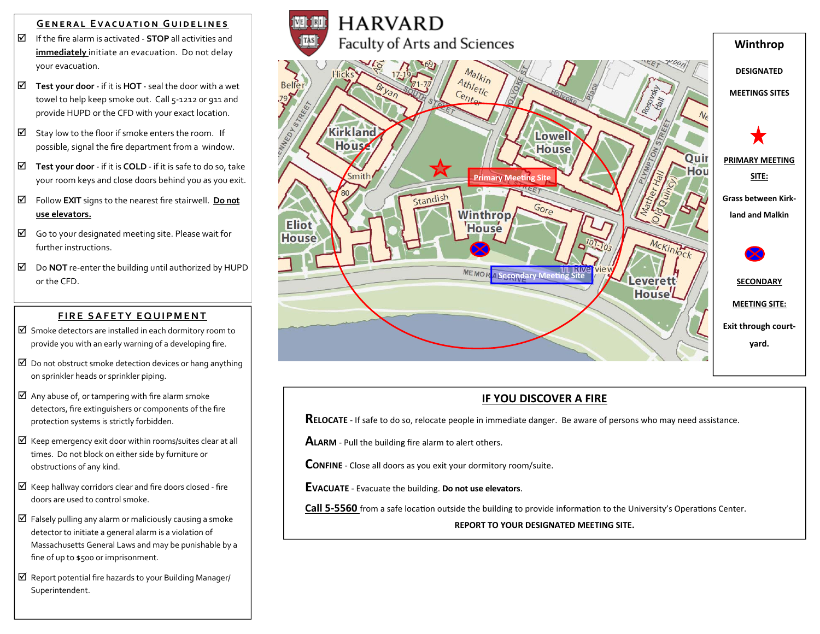#### **GENERAL EVACUATION GUIDELINES**

- If the fire alarm is activated ‐ **STOP** all activities and **immediately** initiate an evacuation. Do not delay your evacuation.
- **Test your door** ‐ if it is **HOT** ‐ seal the door with a wet towel to help keep smoke out. Call 5‐1212 or 911 and provide HUPD or the CFD with your exact location.
- $\boxtimes$  Stay low to the floor if smoke enters the room. If possible, signal the fire department from a window.
- **Test your door** ‐ if it is **COLD** ‐ if it is safe to do so, take your room keys and close doors behind you as you exit.
- Follow **EXIT** signs to the nearest fire stairwell. **Do not use elevators.**
- $\boxtimes$  Go to your designated meeting site. Please wait for further instructions.
- Do **NOT** re‐enter the building until authorized by HUPD or the CFD.

### **F IRE S AFE TY EQU IP MENT**

- $\boxtimes$  Smoke detectors are installed in each dormitory room to provide you with an early warning of a developing fire.
- $\boxtimes$  Do not obstruct smoke detection devices or hang anything on sprinkler heads or sprinkler piping.
- $\boxtimes$  Any abuse of, or tampering with fire alarm smoke detectors, fire extinguishers or components of the fire protection systems is strictly forbidden.
- $\boxtimes$  Keep emergency exit door within rooms/suites clear at all times. Do not block on either side by furniture or obstructions of any kind.
- $\boxtimes$  Keep hallway corridors clear and fire doors closed fire doors are used to control smoke.
- $\boxtimes$  Falsely pulling any alarm or maliciously causing a smoke detector to initiate a general alarm is a violation of Massachusetts General Laws and may be punishable by a fine of up to \$500 or imprisonment.
- $\boxtimes$  Report potential fire hazards to your Building Manager/ Superintendent.



### **IF YOU DISCOVER A FIRE**

**RELOCATE** ‐ If safe to do so, relocate people in immediate danger. Be aware of persons who may need assistance.

**ALARM** ‐ Pull the building fire alarm to alert others.

**CONFINE** ‐ Close all doors as you exit your dormitory room/suite.

**EVACUATE** ‐ Evacuate the building. **Do not use elevators**.

**Call 5-5560** from a safe location outside the building to provide information to the University's Operations Center.

**REPORT TO YOUR DESIGNATED MEETING SITE.**